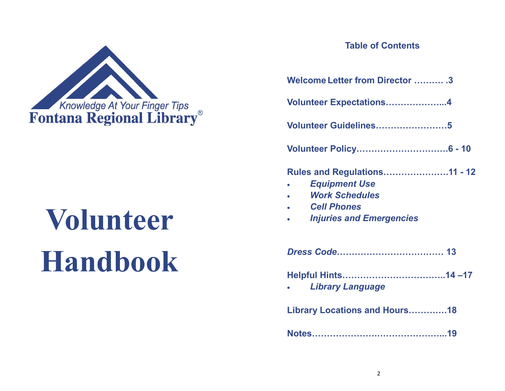

# **VolunteerHandbook**

# **Table of Contents**

| Welcome Letter from Director  3                                                                                                               |
|-----------------------------------------------------------------------------------------------------------------------------------------------|
| Volunteer Expectations4                                                                                                                       |
| Volunteer Guidelines5                                                                                                                         |
|                                                                                                                                               |
| <b>Rules and Regulations11 - 12</b><br><b>Equipment Use</b><br><b>Work Schedules</b><br><b>Cell Phones</b><br><b>Injuries and Emergencies</b> |
|                                                                                                                                               |
| <b>Library Language</b>                                                                                                                       |
| Library Locations and Hours18                                                                                                                 |
| Notes…………………………………………19                                                                                                                       |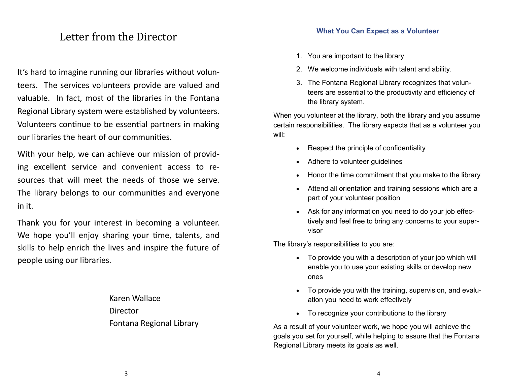# Letter from the Director

It's hard to imagine running our libraries without volunteers. The services volunteers provide are valued and valuable. In fact, most of the libraries in the Fontana Regional Library system were established by volunteers. Volunteers continue to be essential partners in making our libraries the heart of our communities.

With your help, we can achieve our mission of providing excellent service and convenient access to resources that will meet the needs of those we serve.The library belongs to our communities and everyone in it.

Thank you for your interest in becoming a volunteer. We hope you'll enjoy sharing your time, talents, and skills to help enrich the lives and inspire the future of people using our libraries.

> Karen Wallace Director Fontana Regional Library

- 1. You are important to the library
- 2. We welcome individuals with talent and ability.
- 3. The Fontana Regional Library recognizes that volunteers are essential to the productivity and efficiency of the library system.

When you volunteer at the library, both the library and you assume certain responsibilities. The library expects that as a volunteer you will:

- Respect the principle of confidentiality
- Adhere to volunteer guidelines
- Honor the time commitment that you make to the library
- Attend all orientation and training sessions which are a part of your volunteer position
- Ask for any information you need to do your job effectively and feel free to bring any concerns to your supervisor

The library's responsibilities to you are:

- To provide you with a description of your job which will enable you to use your existing skills or develop new ones
- To provide you with the training, supervision, and evaluation you need to work effectively
- To recognize your contributions to the library

As a result of your volunteer work, we hope you will achieve the goals you set for yourself, while helping to assure that the Fontana Regional Library meets its goals as well.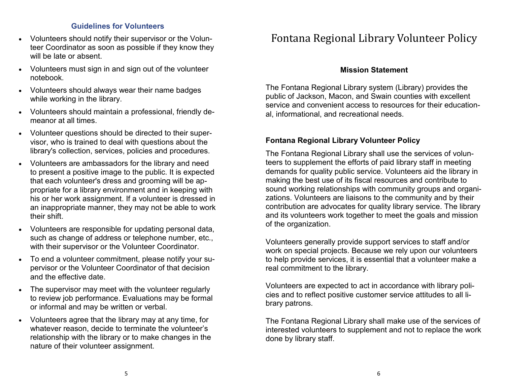#### **Guidelines for Volunteers**

- Volunteers should notify their supervisor or the Volunteer Coordinator as soon as possible if they know they will be late or absent.
- Volunteers must sign in and sign out of the volunteer notebook.
- Volunteers should always wear their name badges while working in the library.
- Volunteers should maintain a professional, friendly demeanor at all times.
- Volunteer questions should be directed to their supervisor, who is trained to deal with questions about the library's collection, services, policies and procedures.
- Volunteers are ambassadors for the library and need to present a positive image to the public. It is expected that each volunteer's dress and grooming will be ap propriate for a library environment and in keeping with his or her work assignment. If a volunteer is dressed in an inappropriate manner, they may not be able to work their shift.
- Volunteers are responsible for updating personal data, such as change of address or telephone number, etc., with their supervisor or the Volunteer Coordinator.
- To end a volunteer commitment, please notify your supervisor or the Volunteer Coordinator of that decision and the effective date.
- The supervisor may meet with the volunteer regularly to review job performance. Evaluations may be formal or informal and may be written or verbal.
- Volunteers agree that the library may at any time, for whatever reason, decide to terminate the volunteer's relationship with the library or to make changes in the nature of their volunteer assignment.

# Fontana Regional Library Volunteer Policy

#### **Mission Statement**

The Fontana Regional Library system (Library) provides the public of Jackson, Macon, and Swain counties with excellent service and convenient access to resources for their educational, informational, and recreational needs.

#### **Fontana Regional Library Volunteer Policy**

The Fontana Regional Library shall use the services of volunteers to supplement the efforts of paid library staff in meeting demands for quality public service. Volunteers aid the library in making the best use of its fiscal resources and contribute to sound working relationships with community groups and organizations. Volunteers are liaisons to the community and by their contribution are advocates for quality library service. The library and its volunteers work together to meet the goals and mission of the organization.

Volunteers generally provide support services to staff and/or work on special projects. Because we rely upon our volunteers to help provide services, it is essential that a volunteer make a real commitment to the library.

Volunteers are expected to act in accordance with library policies and to reflect positive customer service attitudes to all library patrons.

The Fontana Regional Library shall make use of the services of interested volunteers to supplement and not to replace the work done by library staff.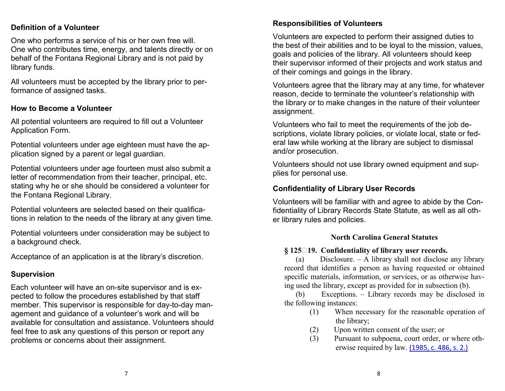#### **Definition of a Volunteer**

One who performs a service of his or her own free will. One who contributes time, energy, and talents directly or on behalf of the Fontana Regional Library and is not paid by library funds.

All volunteers must be accepted by the library prior to performance of assigned tasks.

#### **How to Become a Volunteer**

All potential volunteers are required to fill out a Volunteer Application Form.

Potential volunteers under age eighteen must have the application signed by a parent or legal guardian.

Potential volunteers under age fourteen must also submit a letter of recommendation from their teacher, principal, etc. stating why he or she should be considered a volunteer for the Fontana Regional Library.

Potential volunteers are selected based on their qualifications in relation to the needs of the library at any given time.

Potential volunteers under consideration may be subject to a background check.

Acceptance of an application is at the library's discretion.

## **Supervision**

Each volunteer will have an on-site supervisor and is expected to follow the procedures established by that staff member. This supervisor is responsible for day-to-day management and guidance of a volunteer's work and will be available for consultation and assistance. Volunteers should feel free to ask any questions of this person or report any problems or concerns about their assignment.

#### **Responsibilities of Volunteers**

Volunteers are expected to perform their assigned duties to the best of their abilities and to be loyal to the mission, values, goals and policies of the library. All volunteers should keep their supervisor informed of their projects and work status and of their comings and goings in the library.

Volunteers agree that the library may at any time, for whatever reason, decide to terminate the volunteer's relationship with the library or to make changes in the nature of their volunteer assignment.

Volunteers who fail to meet the requirements of the job descriptions, violate library policies, or violate local, state or federal law while working at the library are subject to dismissal and/or prosecution.

Volunteers should not use library owned equipment and supplies for personal use.

## **Confidentiality of Library User Records**

Volunteers will be familiar with and agree to abide by the Confidentiality of Library Records State Statute, as well as all other library rules and policies.

#### **North Carolina General Statutes**

#### **§ 12519. Confidentiality of library user records.**

 (a) Disclosure. – A library shall not disclose any library record that identifies a person as having requested or obtained specific materials, information, or services, or as otherwise having used the library, except as provided for in subsection (b).

 (b) Exceptions. – Library records may be disclosed in the following instances:

- (1) When necessary for the reasonable operation of the library;
- (2) Upon written consent of the user; or
- (3) Pursuant to subpoena, court order, or where otherwise required by law. (1985, c. 486, s. 2.)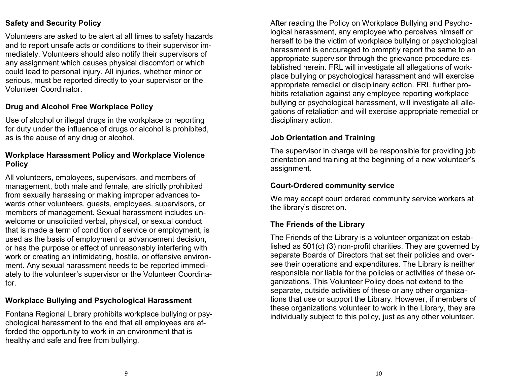## **Safety and Security Policy**

Volunteers are asked to be alert at all times to safety hazards and to report unsafe acts or conditions to their supervisor immediately. Volunteers should also notify their supervisors of any assignment which causes physical discomfort or which could lead to personal injury. All injuries, whether minor or serious, must be reported directly to your supervisor or the Volunteer Coordinator.

#### **Drug and Alcohol Free Workplace Policy**

Use of alcohol or illegal drugs in the workplace or reporting for duty under the influence of drugs or alcohol is prohibited, as is the abuse of any drug or alcohol.

#### **Workplace Harassment Policy and Workplace Violence Policy**

All volunteers, employees, supervisors, and members of management, both male and female, are strictly prohibited from sexually harassing or making improper advances towards other volunteers, guests, employees, supervisors, or members of management. Sexual harassment includes unwelcome or unsolicited verbal, physical, or sexual conduct that is made a term of condition of service or employment, is used as the basis of employment or advancement decision, or has the purpose or effect of unreasonably interfering with work or creating an intimidating, hostile, or offensive environment. Any sexual harassment needs to be reported immediately to the volunteer's supervisor or the Volunteer Coordinator.

## **Workplace Bullying and Psychological Harassment**

Fontana Regional Library prohibits workplace bullying or psychological harassment to the end that all employees are afforded the opportunity to work in an environment that is healthy and safe and free from bullying.

After reading the Policy on Workplace Bullying and Psychological harassment, any employee who perceives himself or herself to be the victim of workplace bullying or psychological harassment is encouraged to promptly report the same to an appropriate supervisor through the grievance procedure established herein. FRL will investigate all allegations of workplace bullying or psychological harassment and will exercise appropriate remedial or disciplinary action. FRL further prohibits retaliation against any employee reporting workplace bullying or psychological harassment, will investigate all allegations of retaliation and will exercise appropriate remedial or disciplinary action.

#### **Job Orientation and Training**

The supervisor in charge will be responsible for providing job orientation and training at the beginning of a new volunteer's assignment.

#### **Court-Ordered community service**

We may accept court ordered community service workers at the library's discretion.

## **The Friends of the Library**

The Friends of the Library is a volunteer organization established as 501(c) (3) non-profit charities. They are governed by separate Boards of Directors that set their policies and oversee their operations and expenditures. The Library is neither responsible nor liable for the policies or activities of these organizations. This Volunteer Policy does not extend to the separate, outside activities of these or any other organizations that use or support the Library. However, if members of these organizations volunteer to work in the Library, they are individually subject to this policy, just as any other volunteer.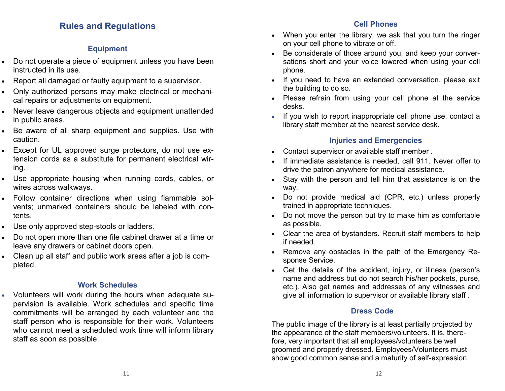# **Rules and Regulations**

## **Equipment**

- Do not operate a piece of equipment unless you have been instructed in its use.
- Report all damaged or faulty equipment to a supervisor.
- Only authorized persons may make electrical or mechanical repairs or adjustments on equipment.
- Never leave dangerous objects and equipment unattended in public areas.
- Be aware of all sharp equipment and supplies. Use with caution.
- Except for UL approved surge protectors, do not use extension cords as a substitute for permanent electrical wiring.
- Use appropriate housing when running cords, cables, or wires across walkways.
- Follow container directions when using flammable solvents; unmarked containers should be labeled with contents.
- Use only approved step-stools or ladders.
- Do not open more than one file cabinet drawer at a time or leave any drawers or cabinet doors open.
- Clean up all staff and public work areas after a job is completed.

## **Work Schedules**

• Volunteers will work during the hours when adequate supervision is available. Work schedules and specific time commitments will be arranged by each volunteer and the staff person who is responsible for their work. Volunteers who cannot meet a scheduled work time will inform library staff as soon as possible.

#### **Cell Phones**

- When you enter the library, we ask that you turn the ringer on your cell phone to vibrate or off.
- Be considerate of those around you, and keep your conversations short and your voice lowered when using your cell phone.
- If you need to have an extended conversation, please exit the building to do so.
- Please refrain from using your cell phone at the service desks.
- If you wish to report inappropriate cell phone use, contact a library staff member at the nearest service desk.

## **Injuries and Emergencies**

- Contact supervisor or available staff member .
- If immediate assistance is needed, call 911. Never offer to drive the patron anywhere for medical assistance.
- Stay with the person and tell him that assistance is on the way.
- Do not provide medical aid (CPR, etc.) unless properly trained in appropriate techniques.
- Do not move the person but try to make him as comfortable as possible.
- Clear the area of bystanders. Recruit staff members to help if needed.
- Remove any obstacles in the path of the Emergency Response Service.
- Get the details of the accident, injury, or illness (person's name and address but do not search his/her pockets, purse, etc.). Also get names and addresses of any witnesses and give all information to supervisor or available library staff .

## **Dress Code**

The public image of the library is at least partially projected by the appearance of the staff members/volunteers. It is, therefore, very important that all employees/volunteers be well groomed and properly dressed. Employees/Volunteers must show good common sense and a maturity of self-expression.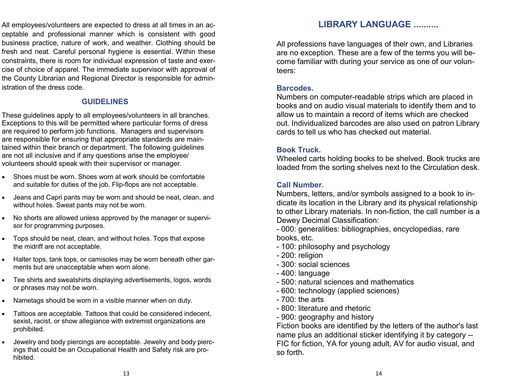All employees/volunteers are expected to dress at all times in an acceptable and professional manner which is consistent with good business practice, nature of work, and weather. Clothing should be fresh and neat. Careful personal hygiene is essential. Within these constraints, there is room for individual expression of taste and exercise of choice of apparel. The immediate supervisor with approval of the County Librarian and Regional Director is responsible for administration of the dress code.

#### **GUIDELINES**

These guidelines apply to all employees/volunteers in all branches. Exceptions to this will be permitted where particular forms of dress are required to perform job functions. Managers and supervisors are responsible for ensuring that appropriate standards are maintained within their branch or department. The following guidelines are not all inclusive and if any questions arise the employee/volunteers should speak with their supervisor or manager.

- Shoes must be worn. Shoes worn at work should be comfortable and suitable for duties of the job. Flip-flops are not acceptable.
- Jeans and Capri pants may be worn and should be neat, clean, and without holes. Sweat pants may not be worn.
- No shorts are allowed unless approved by the manager or supervisor for programming purposes.
- Tops should be neat, clean, and without holes. Tops that expose the midriff are not acceptable.
- Halter tops, tank tops, or camisoles may be worn beneath other garments but are unacceptable when worn alone.
- Tee shirts and sweatshirts displaying advertisements, logos, words or phrases may not be worn.
- Nametags should be worn in a visible manner when on duty.
- Tattoos are acceptable. Tattoos that could be considered indecent, sexist, racist, or show allegiance with extremist organizations are prohibited.
- Jewelry and body piercings are acceptable. Jewelry and body piercings that could be an Occupational Health and Safety risk are prohibited.

## **LIBRARY LANGUAGE ..........**

All professions have languages of their own, and Libraries are no exception. These are a few of the terms you will become familiar with during your service as one of our volunteers:

#### **Barcodes.**

 Numbers on computer-readable strips which are placed in books and on audio visual materials to identify them and to allow us to maintain a record of items which are checked out. Individualized barcodes are also used on patron Library cards to tell us who has checked out material.

#### **Book Truck.**

 Wheeled carts holding books to be shelved. Book trucks are loaded from the sorting shelves next to the Circulation desk.

#### **Call Number.**

 Numbers, letters, and/or symbols assigned to a book to indicate its location in the Library and its physical relationship to other Library materials. In non-fiction, the call number is a Dewey Decimal Classification:

- 000: generalities: bibliographies, encyclopedias, rare books, etc.
- 100: philosophy and psychology
- 200: religion
- 300: social sciences
- 400: language
- 500: natural sciences and mathematics
- 600: technology (applied sciences)
- 700: the arts
- 800: literature and rhetoric
- 900: geography and history

 Fiction books are identified by the letters of the author's last name plus an additional sticker identifying it by category -- FIC for fiction, YA for young adult, AV for audio visual, and so forth.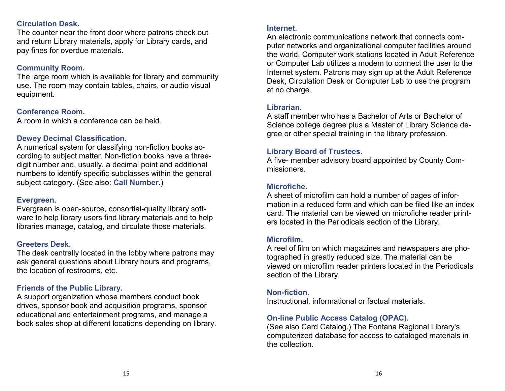#### **Circulation Desk.**

 The counter near the front door where patrons check out and return Library materials, apply for Library cards, and pay fines for overdue materials.

## **Community Room.**

 The large room which is available for library and community use. The room may contain tables, chairs, or audio visual equipment.

## **Conference Room.**

A room in which a conference can be held.

#### **Dewey Decimal Classification.**

 A numerical system for classifying non-fiction books according to subject matter. Non-fiction books have a threedigit number and, usually, a decimal point and additional numbers to identify specific subclasses within the general subject category. (See also: **Call Number**.)

#### **Evergreen.**

 Evergreen is open-source, consortial-quality library software to help library users find library materials and to help libraries manage, catalog, and circulate those materials.

#### **Greeters Desk.**

 The desk centrally located in the lobby where patrons may ask general questions about Library hours and programs, the location of restrooms, etc.

#### **Friends of the Public Library.**

 A support organization whose members conduct book drives, sponsor book and acquisition programs, sponsor educational and entertainment programs, and manage a book sales shop at different locations depending on library.

#### **Internet.**

An electronic communications network that connects computer networks and organizational computer facilities around the world. Computer work stations located in Adult Reference or Computer Lab utilizes a modem to connect the user to the Internet system. Patrons may sign up at the Adult Reference Desk, Circulation Desk or Computer Lab to use the program at no charge.

#### **Librarian.**

 A staff member who has a Bachelor of Arts or Bachelor of Science college degree plus a Master of Library Science degree or other special training in the library profession.

#### **Library Board of Trustees.**

 A five- member advisory board appointed by County Commissioners.

#### **Microfiche.**

 A sheet of microfilm can hold a number of pages of information in a reduced form and which can be filed like an index card. The material can be viewed on microfiche reader printers located in the Periodicals section of the Library.

#### **Microfilm.**

 A reel of film on which magazines and newspapers are photographed in greatly reduced size. The material can be viewed on microfilm reader printers located in the Periodicals section of the Library.

#### **Non-fiction.**

Instructional, informational or factual materials.

## **On-line Public Access Catalog (OPAC).**

 (See also Card Catalog.) The Fontana Regional Library's computerized database for access to cataloged materials in the collection.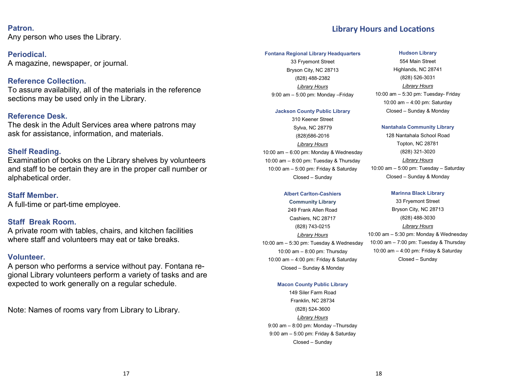#### **Patron.**

Any person who uses the Library.

**Periodical.** A magazine, newspaper, or journal.

**Reference Collection.**  To assure availability, all of the materials in the reference sections may be used only in the Library.

#### **Reference Desk.**

The desk in the Adult Services area where patrons may ask for assistance, information, and materials.

#### **Shelf Reading.**

 Examination of books on the Library shelves by volunteers and staff to be certain they are in the proper call number or alphabetical order.

#### **Staff Member.**

A full-time or part-time employee.

#### **Staff Break Room.**

A private room with tables, chairs, and kitchen facilities where staff and volunteers may eat or take breaks.

#### **Volunteer.**

 A person who performs a service without pay. Fontana regional Library volunteers perform a variety of tasks and are expected to work generally on a regular schedule.

Note: Names of rooms vary from Library to Library.

#### **Library Hours and Locations**

#### **Fontana Regional Library Headquarters**

33 Fryemont Street Bryson City, NC 28713 (828) 488-2382 *Library Hours* 9:00 am – 5:00 pm: Monday –Friday

#### **Jackson County Public Library**

310 Keener Street Sylva, NC 28779 (828)586-2016 *Library Hours* 10:00 am – 6:00 pm: Monday & Wednesday 10:00 am – 8:00 pm: Tuesday & Thursday 10:00 am – 5:00 pm: Friday & Saturday Closed – Sunday

#### **Albert Carlton-Cashiers**

**Community Library** 249 Frank Allen Road Cashiers, NC 28717 (828) 743-0215

*Library Hours* 10:00 am – 5:30 pm: Tuesday & Wednesday 10:00 am – 8:00 pm: Thursday 10:00 am – 4:00 pm: Friday & Saturday Closed – Sunday & Monday

#### **Macon County Public Library**

149 Siler Farm Road Franklin, NC 28734 (828) 524-3600 *Library Hours* 9:00 am – 8:00 pm: Monday –Thursday 9:00 am – 5:00 pm: Friday & Saturday Closed – Sunday

#### **Hudson Library**

554 Main Street Highlands, NC 28741 (828) 526-3031 *Library Hours* 10:00 am – 5:30 pm: Tuesday- Friday 10:00 am – 4:00 pm: Saturday Closed – Sunday & Monday

#### **Nantahala Community Library**

128 Nantahala School Road Topton, NC 28781 (828) 321-3020 *Library Hours* 10:00 am – 5:00 pm: Tuesday – Saturday Closed – Sunday & Monday

#### **Marinna Black Library**

33 Fryemont Street Bryson City, NC 28713 (828) 488-3030 *Library Hours* 10:00 am – 5:30 pm: Monday & Wednesday 10:00 am – 7:00 pm: Tuesday & Thursday 10:00 am – 4:00 pm: Friday & Saturday Closed – Sunday